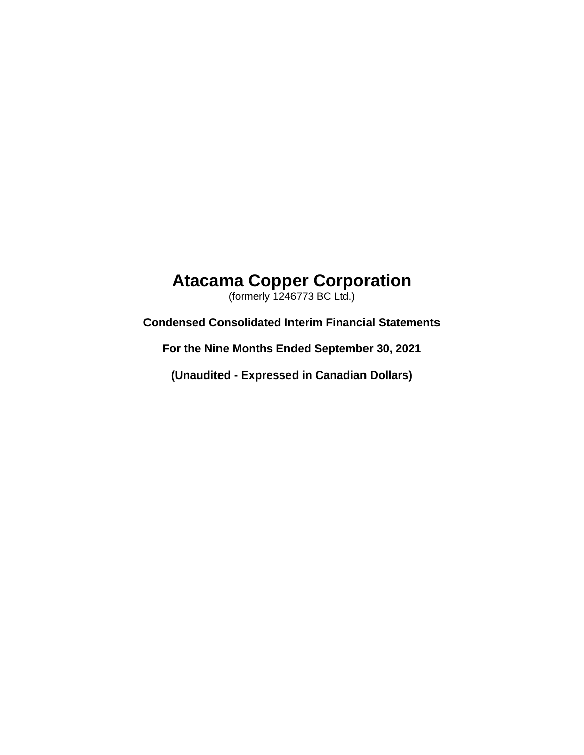# **Atacama Copper Corporation**

(formerly 1246773 BC Ltd.)

**Condensed Consolidated Interim Financial Statements**

**For the Nine Months Ended September 30, 2021**

**(Unaudited - Expressed in Canadian Dollars)**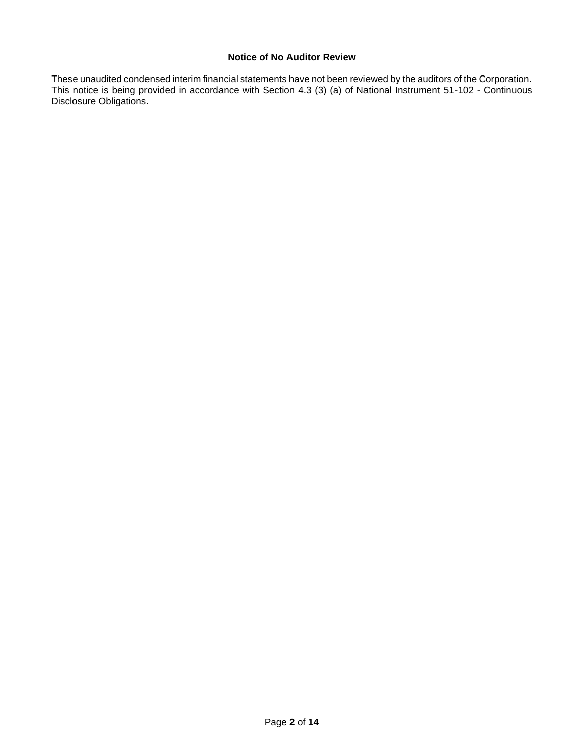# **Notice of No Auditor Review**

These unaudited condensed interim financial statements have not been reviewed by the auditors of the Corporation. This notice is being provided in accordance with Section 4.3 (3) (a) of National Instrument 51-102 - Continuous Disclosure Obligations.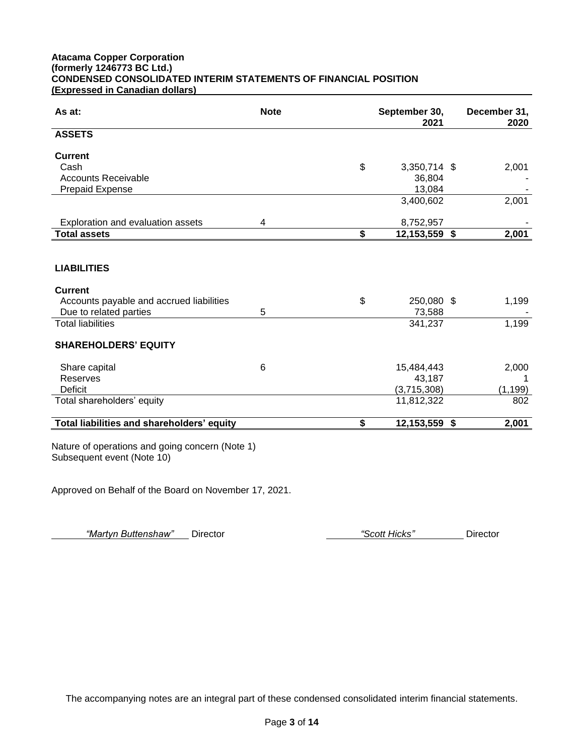# **Atacama Copper Corporation (formerly 1246773 BC Ltd.) CONDENSED CONSOLIDATED INTERIM STATEMENTS OF FINANCIAL POSITION (Expressed in Canadian dollars)**

| As at:                                                                        | <b>Note</b> | September 30,<br>2021 | December 31,<br>2020 |
|-------------------------------------------------------------------------------|-------------|-----------------------|----------------------|
| <b>ASSETS</b>                                                                 |             |                       |                      |
| <b>Current</b>                                                                |             |                       |                      |
| Cash                                                                          |             | \$<br>3,350,714 \$    | 2,001                |
| <b>Accounts Receivable</b>                                                    |             | 36,804                |                      |
| <b>Prepaid Expense</b>                                                        |             | 13,084                |                      |
|                                                                               |             | 3,400,602             | 2,001                |
| Exploration and evaluation assets                                             | 4           | 8,752,957             |                      |
| <b>Total assets</b>                                                           |             | \$<br>12,153,559 \$   | 2,001                |
|                                                                               |             |                       |                      |
| <b>LIABILITIES</b>                                                            |             |                       |                      |
| <b>Current</b>                                                                |             |                       |                      |
| Accounts payable and accrued liabilities                                      |             | \$<br>250,080 \$      | 1,199                |
| Due to related parties                                                        | 5           | 73,588                |                      |
| <b>Total liabilities</b>                                                      |             | 341,237               | 1,199                |
| <b>SHAREHOLDERS' EQUITY</b>                                                   |             |                       |                      |
| Share capital                                                                 | 6           | 15,484,443            | 2,000                |
| <b>Reserves</b>                                                               |             | 43,187                | 1                    |
| <b>Deficit</b>                                                                |             | (3,715,308)           | (1, 199)             |
| Total shareholders' equity                                                    |             | 11,812,322            | 802                  |
| Total liabilities and shareholders' equity                                    |             | \$<br>12,153,559 \$   | 2,001                |
| Nature of operations and going concern (Note 1)<br>Subsequent event (Note 10) |             |                       |                      |

Approved on Behalf of the Board on November 17, 2021.

*"Martyn Buttenshaw"* Director *"Scott Hicks"* Director

The accompanying notes are an integral part of these condensed consolidated interim financial statements.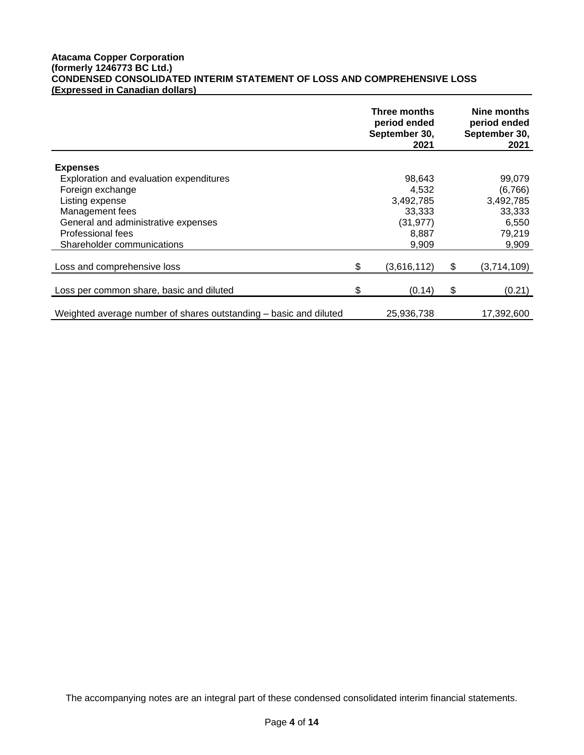# **Atacama Copper Corporation (formerly 1246773 BC Ltd.) CONDENSED CONSOLIDATED INTERIM STATEMENT OF LOSS AND COMPREHENSIVE LOSS (Expressed in Canadian dollars)**

|                                                                   |    | Three months<br>period ended<br>September 30,<br>2021 | Nine months<br>period ended<br>September 30,<br>2021 |
|-------------------------------------------------------------------|----|-------------------------------------------------------|------------------------------------------------------|
| <b>Expenses</b>                                                   |    |                                                       |                                                      |
| Exploration and evaluation expenditures                           |    | 98,643                                                | 99,079                                               |
| Foreign exchange                                                  |    | 4.532                                                 | (6,766)                                              |
| Listing expense                                                   |    | 3,492,785                                             | 3,492,785                                            |
| Management fees                                                   |    | 33,333                                                | 33,333                                               |
| General and administrative expenses                               |    | (31, 977)                                             | 6,550                                                |
| Professional fees                                                 |    | 8,887                                                 | 79,219                                               |
| Shareholder communications                                        |    | 9,909                                                 | 9,909                                                |
|                                                                   |    |                                                       |                                                      |
| Loss and comprehensive loss                                       | \$ | (3,616,112)                                           | \$<br>(3,714,109)                                    |
|                                                                   |    |                                                       |                                                      |
| Loss per common share, basic and diluted                          | S  | (0.14)                                                | \$<br>(0.21)                                         |
|                                                                   |    |                                                       |                                                      |
| Weighted average number of shares outstanding – basic and diluted |    | 25,936,738                                            | 17,392,600                                           |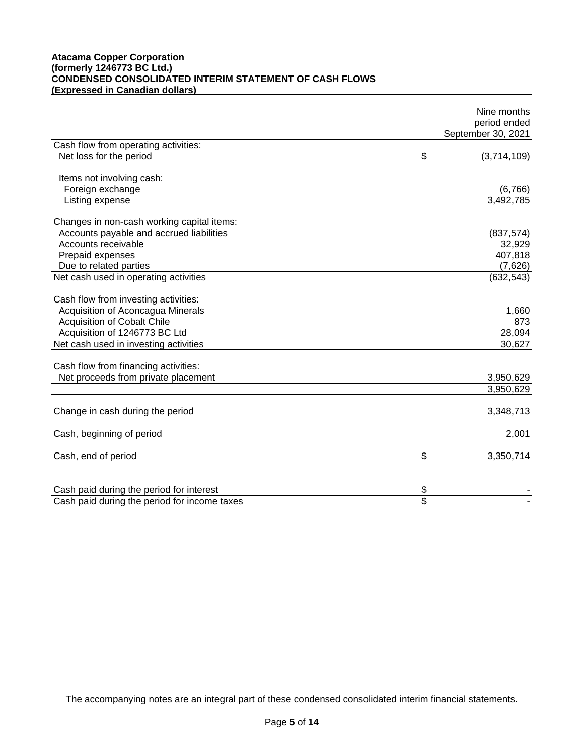# **Atacama Copper Corporation (formerly 1246773 BC Ltd.) CONDENSED CONSOLIDATED INTERIM STATEMENT OF CASH FLOWS (Expressed in Canadian dollars)**

|                                              | Nine months<br>period ended<br>September 30, 2021 |
|----------------------------------------------|---------------------------------------------------|
| Cash flow from operating activities:         |                                                   |
| Net loss for the period                      | \$<br>(3,714,109)                                 |
| Items not involving cash:                    |                                                   |
| Foreign exchange                             | (6,766)                                           |
| Listing expense                              | 3,492,785                                         |
| Changes in non-cash working capital items:   |                                                   |
| Accounts payable and accrued liabilities     | (837, 574)                                        |
| Accounts receivable                          | 32,929                                            |
| Prepaid expenses                             | 407,818                                           |
| Due to related parties                       | (7,626)                                           |
| Net cash used in operating activities        | (632, 543)                                        |
| Cash flow from investing activities:         |                                                   |
| Acquisition of Aconcagua Minerals            | 1,660                                             |
| <b>Acquisition of Cobalt Chile</b>           | 873                                               |
| Acquisition of 1246773 BC Ltd                | 28,094                                            |
| Net cash used in investing activities        | 30,627                                            |
| Cash flow from financing activities:         |                                                   |
| Net proceeds from private placement          | 3,950,629                                         |
|                                              | 3,950,629                                         |
| Change in cash during the period             | 3,348,713                                         |
|                                              |                                                   |
| Cash, beginning of period                    | 2,001                                             |
| Cash, end of period                          | \$<br>3,350,714                                   |
|                                              |                                                   |
| Cash paid during the period for interest     | \$                                                |
| Cash paid during the period for income taxes | \$                                                |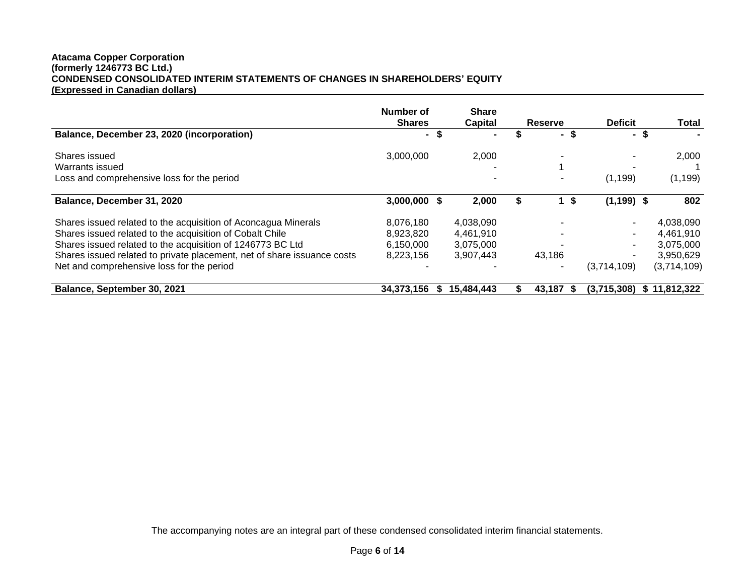# **Atacama Copper Corporation (formerly 1246773 BC Ltd.) CONDENSED CONSOLIDATED INTERIM STATEMENTS OF CHANGES IN SHAREHOLDERS' EQUITY (Expressed in Canadian dollars)**

|                                                                         | Number of<br><b>Shares</b> |      | <b>Share</b><br>Capital | <b>Reserve</b>           | <b>Deficit</b> | <b>Total</b> |
|-------------------------------------------------------------------------|----------------------------|------|-------------------------|--------------------------|----------------|--------------|
| Balance, December 23, 2020 (incorporation)                              |                            | - \$ | $\blacksquare$          | -S.<br>Ξ.                | - \$           |              |
| Shares issued                                                           | 3,000,000                  |      | 2,000                   | $\overline{\phantom{a}}$ |                | 2,000        |
| <b>Warrants issued</b>                                                  |                            |      |                         |                          |                |              |
| Loss and comprehensive loss for the period                              |                            |      |                         | -                        | (1, 199)       | (1, 199)     |
| Balance, December 31, 2020                                              | 3,000,000                  |      | 2,000                   | S                        | $(1, 199)$ \$  | 802          |
| Shares issued related to the acquisition of Aconcagua Minerals          | 8,076,180                  |      | 4,038,090               |                          |                | 4,038,090    |
| Shares issued related to the acquisition of Cobalt Chile                | 8,923,820                  |      | 4,461,910               | ۰                        |                | 4,461,910    |
| Shares issued related to the acquisition of 1246773 BC Ltd              | 6,150,000                  |      | 3,075,000               |                          |                | 3,075,000    |
| Shares issued related to private placement, net of share issuance costs | 8,223,156                  |      | 3.907.443               | 43,186                   |                | 3,950,629    |
| Net and comprehensive loss for the period                               |                            |      |                         | $\blacksquare$           | (3,714,109)    | (3,714,109)  |
| Balance, September 30, 2021                                             | 34,373,156                 | æ.   | 15,484,443              | 43.187 \$                | (3.715.308)    | \$11,812,322 |

The accompanying notes are an integral part of these condensed consolidated interim financial statements.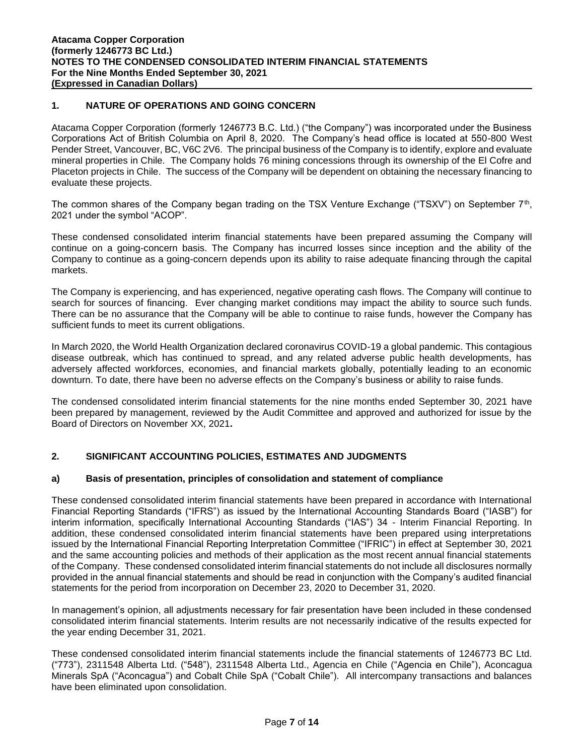# **1. NATURE OF OPERATIONS AND GOING CONCERN**

Atacama Copper Corporation (formerly 1246773 B.C. Ltd.) ("the Company") was incorporated under the Business Corporations Act of British Columbia on April 8, 2020. The Company's head office is located at 550-800 West Pender Street, Vancouver, BC, V6C 2V6. The principal business of the Company is to identify, explore and evaluate mineral properties in Chile. The Company holds 76 mining concessions through its ownership of the El Cofre and Placeton projects in Chile. The success of the Company will be dependent on obtaining the necessary financing to evaluate these projects.

The common shares of the Company began trading on the TSX Venture Exchange ("TSXV") on September 7<sup>th</sup>, 2021 under the symbol "ACOP".

These condensed consolidated interim financial statements have been prepared assuming the Company will continue on a going-concern basis. The Company has incurred losses since inception and the ability of the Company to continue as a going-concern depends upon its ability to raise adequate financing through the capital markets.

The Company is experiencing, and has experienced, negative operating cash flows. The Company will continue to search for sources of financing. Ever changing market conditions may impact the ability to source such funds. There can be no assurance that the Company will be able to continue to raise funds, however the Company has sufficient funds to meet its current obligations.

In March 2020, the World Health Organization declared coronavirus COVID-19 a global pandemic. This contagious disease outbreak, which has continued to spread, and any related adverse public health developments, has adversely affected workforces, economies, and financial markets globally, potentially leading to an economic downturn. To date, there have been no adverse effects on the Company's business or ability to raise funds.

The condensed consolidated interim financial statements for the nine months ended September 30, 2021 have been prepared by management, reviewed by the Audit Committee and approved and authorized for issue by the Board of Directors on November XX, 2021**.**

# **2. SIGNIFICANT ACCOUNTING POLICIES, ESTIMATES AND JUDGMENTS**

# **a) Basis of presentation, principles of consolidation and statement of compliance**

These condensed consolidated interim financial statements have been prepared in accordance with International Financial Reporting Standards ("IFRS") as issued by the International Accounting Standards Board ("IASB") for interim information, specifically International Accounting Standards ("IAS") 34 - Interim Financial Reporting. In addition, these condensed consolidated interim financial statements have been prepared using interpretations issued by the International Financial Reporting Interpretation Committee ("IFRIC") in effect at September 30, 2021 and the same accounting policies and methods of their application as the most recent annual financial statements of the Company. These condensed consolidated interim financial statements do not include all disclosures normally provided in the annual financial statements and should be read in conjunction with the Company's audited financial statements for the period from incorporation on December 23, 2020 to December 31, 2020.

In management's opinion, all adjustments necessary for fair presentation have been included in these condensed consolidated interim financial statements. Interim results are not necessarily indicative of the results expected for the year ending December 31, 2021.

These condensed consolidated interim financial statements include the financial statements of 1246773 BC Ltd. ("773"), 2311548 Alberta Ltd. ("548"), 2311548 Alberta Ltd., Agencia en Chile ("Agencia en Chile"), Aconcagua Minerals SpA ("Aconcagua") and Cobalt Chile SpA ("Cobalt Chile"). All intercompany transactions and balances have been eliminated upon consolidation.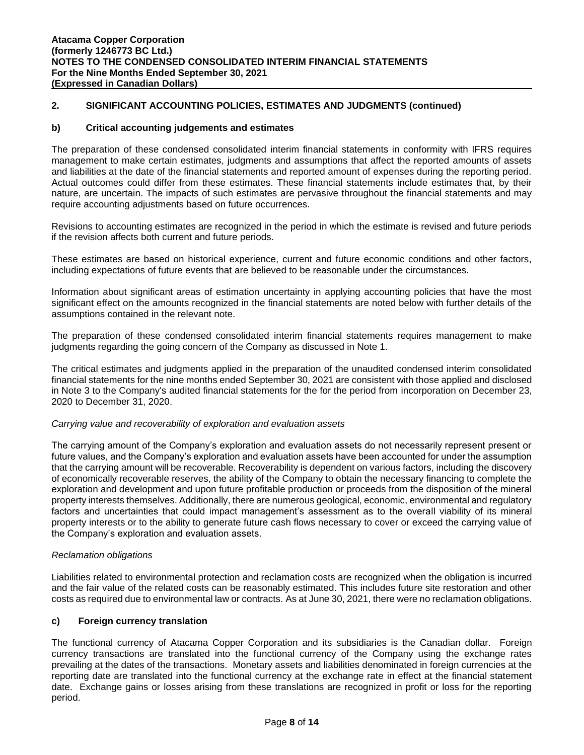# **2. SIGNIFICANT ACCOUNTING POLICIES, ESTIMATES AND JUDGMENTS (continued)**

# **b) Critical accounting judgements and estimates**

The preparation of these condensed consolidated interim financial statements in conformity with IFRS requires management to make certain estimates, judgments and assumptions that affect the reported amounts of assets and liabilities at the date of the financial statements and reported amount of expenses during the reporting period. Actual outcomes could differ from these estimates. These financial statements include estimates that, by their nature, are uncertain. The impacts of such estimates are pervasive throughout the financial statements and may require accounting adjustments based on future occurrences.

Revisions to accounting estimates are recognized in the period in which the estimate is revised and future periods if the revision affects both current and future periods.

These estimates are based on historical experience, current and future economic conditions and other factors, including expectations of future events that are believed to be reasonable under the circumstances.

Information about significant areas of estimation uncertainty in applying accounting policies that have the most significant effect on the amounts recognized in the financial statements are noted below with further details of the assumptions contained in the relevant note.

The preparation of these condensed consolidated interim financial statements requires management to make judgments regarding the going concern of the Company as discussed in Note 1.

The critical estimates and judgments applied in the preparation of the unaudited condensed interim consolidated financial statements for the nine months ended September 30, 2021 are consistent with those applied and disclosed in Note 3 to the Company's audited financial statements for the for the period from incorporation on December 23, 2020 to December 31, 2020.

#### *Carrying value and recoverability of exploration and evaluation assets*

The carrying amount of the Company's exploration and evaluation assets do not necessarily represent present or future values, and the Company's exploration and evaluation assets have been accounted for under the assumption that the carrying amount will be recoverable. Recoverability is dependent on various factors, including the discovery of economically recoverable reserves, the ability of the Company to obtain the necessary financing to complete the exploration and development and upon future profitable production or proceeds from the disposition of the mineral property interests themselves. Additionally, there are numerous geological, economic, environmental and regulatory factors and uncertainties that could impact management's assessment as to the overall viability of its mineral property interests or to the ability to generate future cash flows necessary to cover or exceed the carrying value of the Company's exploration and evaluation assets.

#### *Reclamation obligations*

Liabilities related to environmental protection and reclamation costs are recognized when the obligation is incurred and the fair value of the related costs can be reasonably estimated. This includes future site restoration and other costs as required due to environmental law or contracts. As at June 30, 2021, there were no reclamation obligations.

# **c) Foreign currency translation**

The functional currency of Atacama Copper Corporation and its subsidiaries is the Canadian dollar. Foreign currency transactions are translated into the functional currency of the Company using the exchange rates prevailing at the dates of the transactions. Monetary assets and liabilities denominated in foreign currencies at the reporting date are translated into the functional currency at the exchange rate in effect at the financial statement date. Exchange gains or losses arising from these translations are recognized in profit or loss for the reporting period.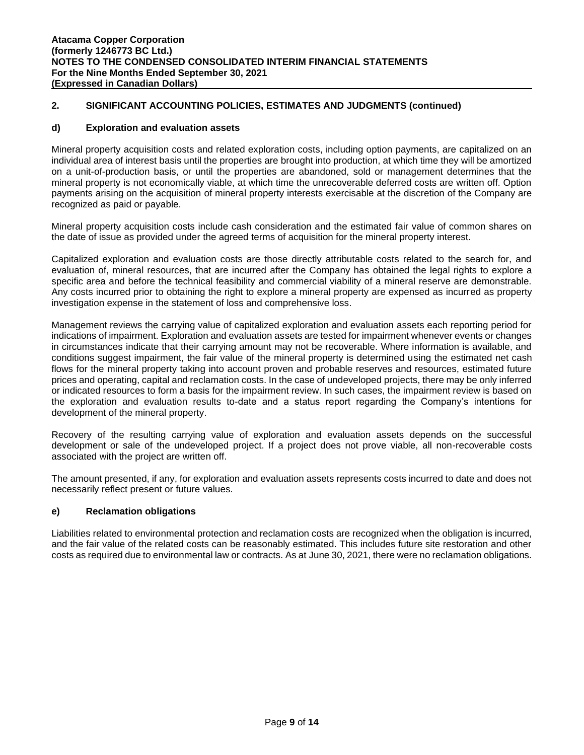# **2. SIGNIFICANT ACCOUNTING POLICIES, ESTIMATES AND JUDGMENTS (continued)**

# **d) Exploration and evaluation assets**

Mineral property acquisition costs and related exploration costs, including option payments, are capitalized on an individual area of interest basis until the properties are brought into production, at which time they will be amortized on a unit-of-production basis, or until the properties are abandoned, sold or management determines that the mineral property is not economically viable, at which time the unrecoverable deferred costs are written off. Option payments arising on the acquisition of mineral property interests exercisable at the discretion of the Company are recognized as paid or payable.

Mineral property acquisition costs include cash consideration and the estimated fair value of common shares on the date of issue as provided under the agreed terms of acquisition for the mineral property interest.

Capitalized exploration and evaluation costs are those directly attributable costs related to the search for, and evaluation of, mineral resources, that are incurred after the Company has obtained the legal rights to explore a specific area and before the technical feasibility and commercial viability of a mineral reserve are demonstrable. Any costs incurred prior to obtaining the right to explore a mineral property are expensed as incurred as property investigation expense in the statement of loss and comprehensive loss.

Management reviews the carrying value of capitalized exploration and evaluation assets each reporting period for indications of impairment. Exploration and evaluation assets are tested for impairment whenever events or changes in circumstances indicate that their carrying amount may not be recoverable. Where information is available, and conditions suggest impairment, the fair value of the mineral property is determined using the estimated net cash flows for the mineral property taking into account proven and probable reserves and resources, estimated future prices and operating, capital and reclamation costs. In the case of undeveloped projects, there may be only inferred or indicated resources to form a basis for the impairment review. In such cases, the impairment review is based on the exploration and evaluation results to-date and a status report regarding the Company's intentions for development of the mineral property.

Recovery of the resulting carrying value of exploration and evaluation assets depends on the successful development or sale of the undeveloped project. If a project does not prove viable, all non-recoverable costs associated with the project are written off.

The amount presented, if any, for exploration and evaluation assets represents costs incurred to date and does not necessarily reflect present or future values.

# **e) Reclamation obligations**

Liabilities related to environmental protection and reclamation costs are recognized when the obligation is incurred, and the fair value of the related costs can be reasonably estimated. This includes future site restoration and other costs as required due to environmental law or contracts. As at June 30, 2021, there were no reclamation obligations.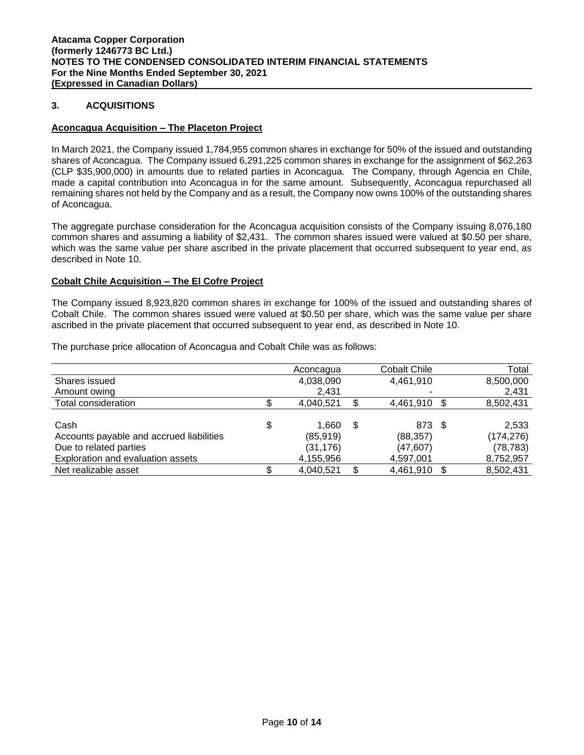# **3. ACQUISITIONS**

#### **Aconcagua Acquisition – The Placeton Project**

In March 2021, the Company issued 1,784,955 common shares in exchange for 50% of the issued and outstanding shares of Aconcagua. The Company issued 6,291,225 common shares in exchange for the assignment of \$62,263 (CLP \$35,900,000) in amounts due to related parties in Aconcagua. The Company, through Agencia en Chile, made a capital contribution into Aconcagua in for the same amount. Subsequently, Aconcagua repurchased all remaining shares not held by the Company and as a result, the Company now owns 100% of the outstanding shares of Aconcagua.

The aggregate purchase consideration for the Aconcagua acquisition consists of the Company issuing 8,076,180 common shares and assuming a liability of \$2,431. The common shares issued were valued at \$0.50 per share, which was the same value per share ascribed in the private placement that occurred subsequent to year end, as described in Note 10.

#### **Cobalt Chile Acquisition – The El Cofre Project**

The Company issued 8,923,820 common shares in exchange for 100% of the issued and outstanding shares of Cobalt Chile. The common shares issued were valued at \$0.50 per share, which was the same value per share ascribed in the private placement that occurred subsequent to year end, as described in Note 10.

The purchase price allocation of Aconcagua and Cobalt Chile was as follows:

|                                          | Aconcagua   |   | <b>Cobalt Chile</b> | Total      |
|------------------------------------------|-------------|---|---------------------|------------|
| Shares issued                            | 4,038,090   |   | 4,461,910           | 8,500,000  |
| Amount owing                             | 2,431       |   |                     | 2,431      |
| Total consideration                      | 4,040,521   |   | 4,461,910 \$        | 8,502,431  |
|                                          |             |   |                     |            |
| Cash                                     | \$<br>1.660 | S | 873 \$              | 2,533      |
| Accounts payable and accrued liabilities | (85, 919)   |   | (88, 357)           | (174, 276) |
| Due to related parties                   | (31, 176)   |   | (47, 607)           | (78, 783)  |
| Exploration and evaluation assets        | 4,155,956   |   | 4,597,001           | 8,752,957  |
| Net realizable asset                     | 4,040,521   |   | 4,461,910           | 8,502,431  |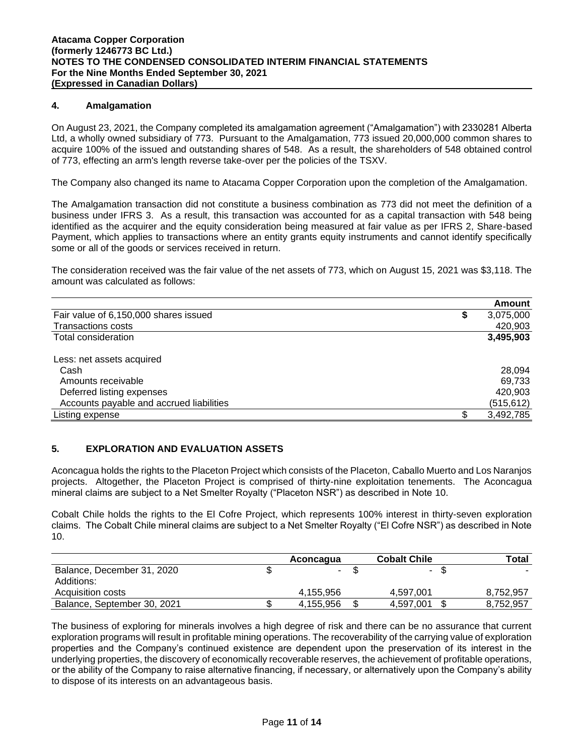# **4. Amalgamation**

On August 23, 2021, the Company completed its amalgamation agreement ("Amalgamation") with 2330281 Alberta Ltd, a wholly owned subsidiary of 773. Pursuant to the Amalgamation, 773 issued 20,000,000 common shares to acquire 100% of the issued and outstanding shares of 548. As a result, the shareholders of 548 obtained control of 773, effecting an arm's length reverse take-over per the policies of the TSXV.

The Company also changed its name to Atacama Copper Corporation upon the completion of the Amalgamation.

The Amalgamation transaction did not constitute a business combination as 773 did not meet the definition of a business under IFRS 3. As a result, this transaction was accounted for as a capital transaction with 548 being identified as the acquirer and the equity consideration being measured at fair value as per IFRS 2, Share-based Payment, which applies to transactions where an entity grants equity instruments and cannot identify specifically some or all of the goods or services received in return.

The consideration received was the fair value of the net assets of 773, which on August 15, 2021 was \$3,118. The amount was calculated as follows:

|                                          | Amount          |
|------------------------------------------|-----------------|
| Fair value of 6,150,000 shares issued    | \$<br>3,075,000 |
| <b>Transactions costs</b>                | 420,903         |
| Total consideration                      | 3,495,903       |
| Less: net assets acquired                |                 |
| Cash                                     | 28.094          |
| Amounts receivable                       | 69,733          |
| Deferred listing expenses                | 420.903         |
| Accounts payable and accrued liabilities | (515, 612)      |
| Listing expense                          | 3,492,785       |

# **5. EXPLORATION AND EVALUATION ASSETS**

Aconcagua holds the rights to the Placeton Project which consists of the Placeton, Caballo Muerto and Los Naranjos projects. Altogether, the Placeton Project is comprised of thirty-nine exploitation tenements. The Aconcagua mineral claims are subject to a Net Smelter Royalty ("Placeton NSR") as described in Note 10.

Cobalt Chile holds the rights to the El Cofre Project, which represents 100% interest in thirty-seven exploration claims. The Cobalt Chile mineral claims are subject to a Net Smelter Royalty ("El Cofre NSR") as described in Note 10.

|                             | Aconcagua | <b>Cobalt Chile</b> | Total     |
|-----------------------------|-----------|---------------------|-----------|
| Balance, December 31, 2020  | $\sim$    | - \$                |           |
| Additions:                  |           |                     |           |
| Acquisition costs           | 4.155.956 | 4.597.001           | 8.752.957 |
| Balance, September 30, 2021 | 4,155,956 | 4,597,001           | 8.752.957 |

The business of exploring for minerals involves a high degree of risk and there can be no assurance that current exploration programs will result in profitable mining operations. The recoverability of the carrying value of exploration properties and the Company's continued existence are dependent upon the preservation of its interest in the underlying properties, the discovery of economically recoverable reserves, the achievement of profitable operations, or the ability of the Company to raise alternative financing, if necessary, or alternatively upon the Company's ability to dispose of its interests on an advantageous basis.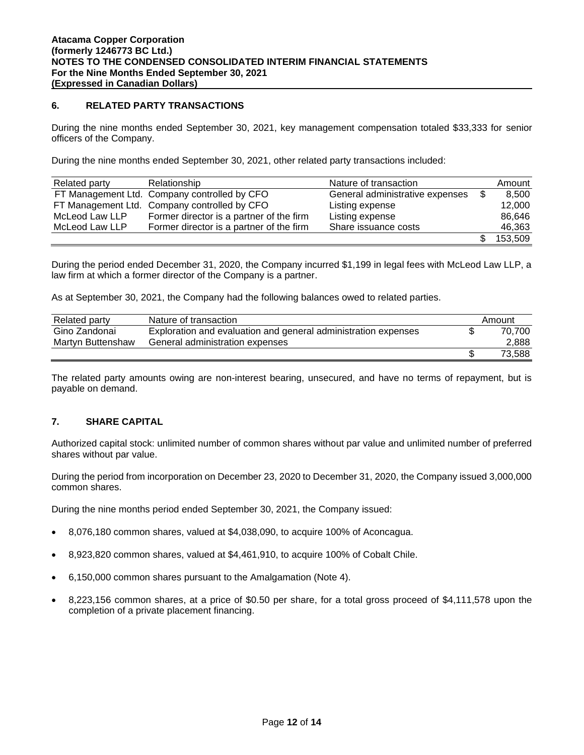# **6. RELATED PARTY TRANSACTIONS**

During the nine months ended September 30, 2021, key management compensation totaled \$33,333 for senior officers of the Company.

During the nine months ended September 30, 2021, other related party transactions included:

| Related party  | Relationship                                 | Nature of transaction           | Amount  |
|----------------|----------------------------------------------|---------------------------------|---------|
|                | FT Management Ltd. Company controlled by CFO | General administrative expenses | 8.500   |
|                | FT Management Ltd. Company controlled by CFO | Listing expense                 | 12,000  |
| McLeod Law LLP | Former director is a partner of the firm     | Listing expense                 | 86.646  |
| McLeod Law LLP | Former director is a partner of the firm     | Share issuance costs            | 46,363  |
|                |                                              |                                 | 153,509 |

During the period ended December 31, 2020, the Company incurred \$1,199 in legal fees with McLeod Law LLP, a law firm at which a former director of the Company is a partner.

As at September 30, 2021, the Company had the following balances owed to related parties.

| Related party     | Nature of transaction                                          | Amount |
|-------------------|----------------------------------------------------------------|--------|
| Gino Zandonai     | Exploration and evaluation and general administration expenses | 70.700 |
| Martyn Buttenshaw | General administration expenses                                | 2,888  |
|                   |                                                                | 73.588 |

The related party amounts owing are non-interest bearing, unsecured, and have no terms of repayment, but is payable on demand.

# **7. SHARE CAPITAL**

Authorized capital stock: unlimited number of common shares without par value and unlimited number of preferred shares without par value.

During the period from incorporation on December 23, 2020 to December 31, 2020, the Company issued 3,000,000 common shares.

During the nine months period ended September 30, 2021, the Company issued:

- 8,076,180 common shares, valued at \$4,038,090, to acquire 100% of Aconcagua.
- 8,923,820 common shares, valued at \$4,461,910, to acquire 100% of Cobalt Chile.
- 6,150,000 common shares pursuant to the Amalgamation (Note 4).
- 8,223,156 common shares, at a price of \$0.50 per share, for a total gross proceed of \$4,111,578 upon the completion of a private placement financing.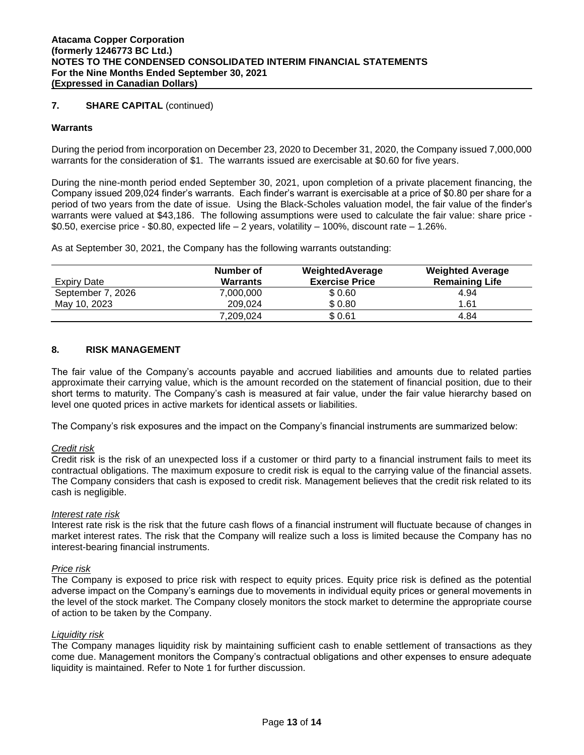# **7. SHARE CAPITAL** (continued)

#### **Warrants**

During the period from incorporation on December 23, 2020 to December 31, 2020, the Company issued 7,000,000 warrants for the consideration of \$1. The warrants issued are exercisable at \$0.60 for five years.

During the nine-month period ended September 30, 2021, upon completion of a private placement financing, the Company issued 209,024 finder's warrants. Each finder's warrant is exercisable at a price of \$0.80 per share for a period of two years from the date of issue. Using the Black-Scholes valuation model, the fair value of the finder's warrants were valued at \$43,186. The following assumptions were used to calculate the fair value: share price - \$0.50, exercise price - \$0.80, expected life – 2 years, volatility – 100%, discount rate – 1.26%.

As at September 30, 2021, the Company has the following warrants outstanding:

|                    | Number of       | WeightedAverage       | <b>Weighted Average</b> |
|--------------------|-----------------|-----------------------|-------------------------|
| <b>Expiry Date</b> | <b>Warrants</b> | <b>Exercise Price</b> | <b>Remaining Life</b>   |
| September 7, 2026  | 7.000.000       | \$0.60                | 4.94                    |
| May 10, 2023       | 209.024         | \$0.80                | 1.61                    |
|                    | 7,209,024       | \$0.61                | 4.84                    |

#### **8. RISK MANAGEMENT**

The fair value of the Company's accounts payable and accrued liabilities and amounts due to related parties approximate their carrying value, which is the amount recorded on the statement of financial position, due to their short terms to maturity. The Company's cash is measured at fair value, under the fair value hierarchy based on level one quoted prices in active markets for identical assets or liabilities.

The Company's risk exposures and the impact on the Company's financial instruments are summarized below:

#### *Credit risk*

Credit risk is the risk of an unexpected loss if a customer or third party to a financial instrument fails to meet its contractual obligations. The maximum exposure to credit risk is equal to the carrying value of the financial assets. The Company considers that cash is exposed to credit risk. Management believes that the credit risk related to its cash is negligible.

#### *Interest rate risk*

Interest rate risk is the risk that the future cash flows of a financial instrument will fluctuate because of changes in market interest rates. The risk that the Company will realize such a loss is limited because the Company has no interest-bearing financial instruments.

#### *Price risk*

The Company is exposed to price risk with respect to equity prices. Equity price risk is defined as the potential adverse impact on the Company's earnings due to movements in individual equity prices or general movements in the level of the stock market. The Company closely monitors the stock market to determine the appropriate course of action to be taken by the Company.

# *Liquidity risk*

The Company manages liquidity risk by maintaining sufficient cash to enable settlement of transactions as they come due. Management monitors the Company's contractual obligations and other expenses to ensure adequate liquidity is maintained. Refer to Note 1 for further discussion.